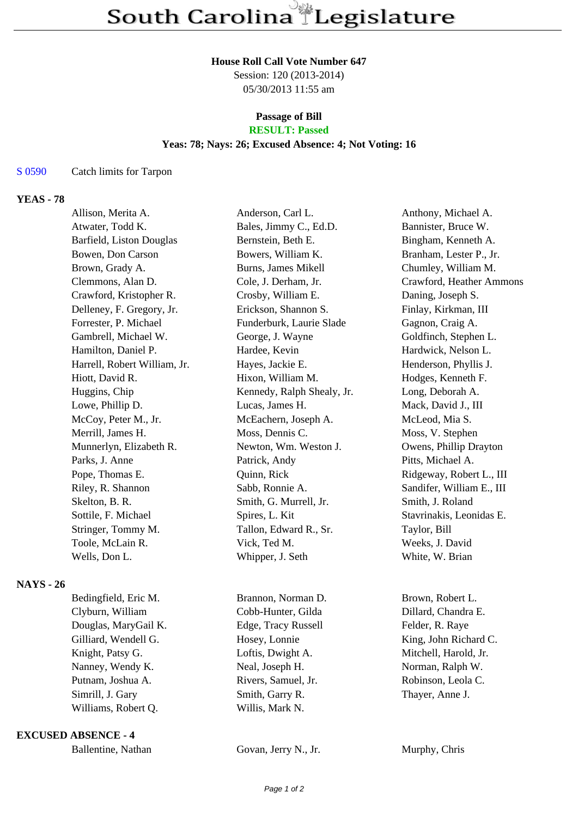## **House Roll Call Vote Number 647**

Session: 120 (2013-2014) 05/30/2013 11:55 am

# **Passage of Bill**

# **RESULT: Passed**

### **Yeas: 78; Nays: 26; Excused Absence: 4; Not Voting: 16**

#### S 0590 Catch limits for Tarpon

## **YEAS - 78**

| Allison, Merita A.           | Anderson, Carl L.          | Anthony, Michael A.       |
|------------------------------|----------------------------|---------------------------|
| Atwater, Todd K.             | Bales, Jimmy C., Ed.D.     | Bannister, Bruce W.       |
| Barfield, Liston Douglas     | Bernstein, Beth E.         | Bingham, Kenneth A.       |
| Bowen, Don Carson            | Bowers, William K.         | Branham, Lester P., Jr.   |
| Brown, Grady A.              | <b>Burns, James Mikell</b> | Chumley, William M.       |
| Clemmons, Alan D.            | Cole, J. Derham, Jr.       | Crawford, Heather Ammons  |
| Crawford, Kristopher R.      | Crosby, William E.         | Daning, Joseph S.         |
| Delleney, F. Gregory, Jr.    | Erickson, Shannon S.       | Finlay, Kirkman, III      |
| Forrester, P. Michael        | Funderburk, Laurie Slade   | Gagnon, Craig A.          |
| Gambrell, Michael W.         | George, J. Wayne           | Goldfinch, Stephen L.     |
| Hamilton, Daniel P.          | Hardee, Kevin              | Hardwick, Nelson L.       |
| Harrell, Robert William, Jr. | Hayes, Jackie E.           | Henderson, Phyllis J.     |
| Hiott, David R.              | Hixon, William M.          | Hodges, Kenneth F.        |
| Huggins, Chip                | Kennedy, Ralph Shealy, Jr. | Long, Deborah A.          |
| Lowe, Phillip D.             | Lucas, James H.            | Mack, David J., III       |
| McCoy, Peter M., Jr.         | McEachern, Joseph A.       | McLeod, Mia S.            |
| Merrill, James H.            | Moss, Dennis C.            | Moss, V. Stephen          |
| Munnerlyn, Elizabeth R.      | Newton, Wm. Weston J.      | Owens, Phillip Drayton    |
| Parks, J. Anne               | Patrick, Andy              | Pitts, Michael A.         |
| Pope, Thomas E.              | Quinn, Rick                | Ridgeway, Robert L., III  |
| Riley, R. Shannon            | Sabb, Ronnie A.            | Sandifer, William E., III |
| Skelton, B. R.               | Smith, G. Murrell, Jr.     | Smith, J. Roland          |
| Sottile, F. Michael          | Spires, L. Kit             | Stavrinakis, Leonidas E.  |
| Stringer, Tommy M.           | Tallon, Edward R., Sr.     | Taylor, Bill              |
| Toole, McLain R.             | Vick, Ted M.               | Weeks, J. David           |
| Wells, Don L.                | Whipper, J. Seth           | White, W. Brian           |
|                              |                            |                           |

## **NAYS - 26**

| Bedingfield, Eric M. | Brannon, Norman D.  | Brown, Robert L.      |
|----------------------|---------------------|-----------------------|
| Clyburn, William     | Cobb-Hunter, Gilda  | Dillard, Chandra E.   |
| Douglas, MaryGail K. | Edge, Tracy Russell | Felder, R. Raye       |
| Gilliard, Wendell G. | Hosey, Lonnie       | King, John Richard C. |
| Knight, Patsy G.     | Loftis, Dwight A.   | Mitchell, Harold, Jr. |
| Nanney, Wendy K.     | Neal, Joseph H.     | Norman, Ralph W.      |
| Putnam, Joshua A.    | Rivers, Samuel, Jr. | Robinson, Leola C.    |
| Simrill, J. Gary     | Smith, Garry R.     | Thayer, Anne J.       |
| Williams, Robert Q.  | Willis, Mark N.     |                       |
|                      |                     |                       |

#### **EXCUSED ABSENCE - 4**

| Ballentine, Nathan | Govan, Jerry N., Jr. | Murphy, Chris |
|--------------------|----------------------|---------------|
|                    |                      |               |